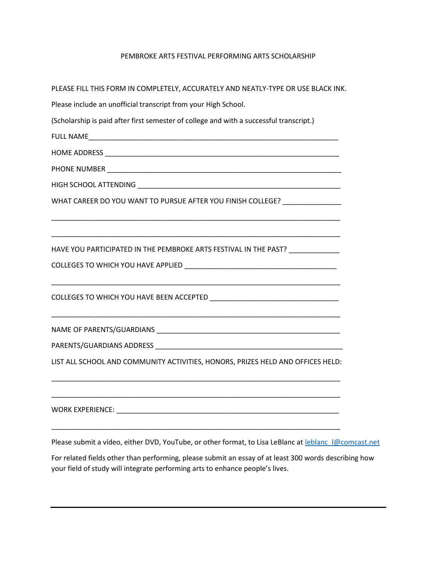## PEMBROKE ARTS FESTIVAL PERFORMING ARTS SCHOLARSHIP

| PLEASE FILL THIS FORM IN COMPLETELY, ACCURATELY AND NEATLY-TYPE OR USE BLACK INK.                     |
|-------------------------------------------------------------------------------------------------------|
| Please include an unofficial transcript from your High School.                                        |
| (Scholarship is paid after first semester of college and with a successful transcript.)               |
|                                                                                                       |
|                                                                                                       |
|                                                                                                       |
|                                                                                                       |
| WHAT CAREER DO YOU WANT TO PURSUE AFTER YOU FINISH COLLEGE? _______________                           |
|                                                                                                       |
| HAVE YOU PARTICIPATED IN THE PEMBROKE ARTS FESTIVAL IN THE PAST? _______________                      |
|                                                                                                       |
|                                                                                                       |
|                                                                                                       |
|                                                                                                       |
| LIST ALL SCHOOL AND COMMUNITY ACTIVITIES, HONORS, PRIZES HELD AND OFFICES HELD:                       |
|                                                                                                       |
| <b>WORK EXPERIENCE:</b>                                                                               |
| Please submit a video, either DVD, YouTube, or other format, to Lisa LeBlanc at leblanc I@comcast.net |
| For related fields other than performing places submit an essay of at least 200 words describing how  |

For related fields other than performing, please submit an essay of at least 300 words describing how your field of study will integrate performing arts to enhance people's lives.